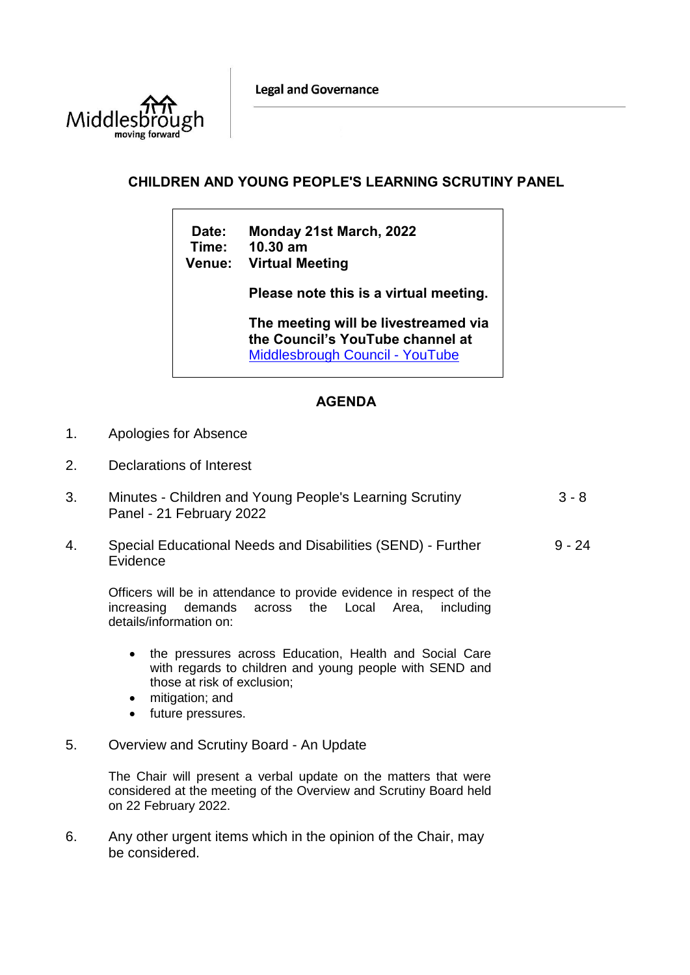**Legal and Governance** 



## **CHILDREN AND YOUNG PEOPLE'S LEARNING SCRUTINY PANEL**

**Date: Monday 21st March, 2022 Time: 10.30 am Venue: Virtual Meeting**

**Please note this is a virtual meeting.** 

**The meeting will be livestreamed via the Council's YouTube channel at**  [Middlesbrough Council -](https://www.youtube.com/user/middlesbroughcouncil) YouTube

## **AGENDA**

- 1. Apologies for Absence
- 2. Declarations of Interest
- 3. Minutes Children and Young People's Learning Scrutiny Panel - 21 February 2022 3 - 8
- 4. Special Educational Needs and Disabilities (SEND) Further Evidence 9 - 24

Officers will be in attendance to provide evidence in respect of the increasing demands across the Local Area, including details/information on:

- the pressures across Education, Health and Social Care with regards to children and young people with SEND and those at risk of exclusion;
- mitigation; and
- future pressures.
- 5. Overview and Scrutiny Board An Update

The Chair will present a verbal update on the matters that were considered at the meeting of the Overview and Scrutiny Board held on 22 February 2022.

6. Any other urgent items which in the opinion of the Chair, may be considered.